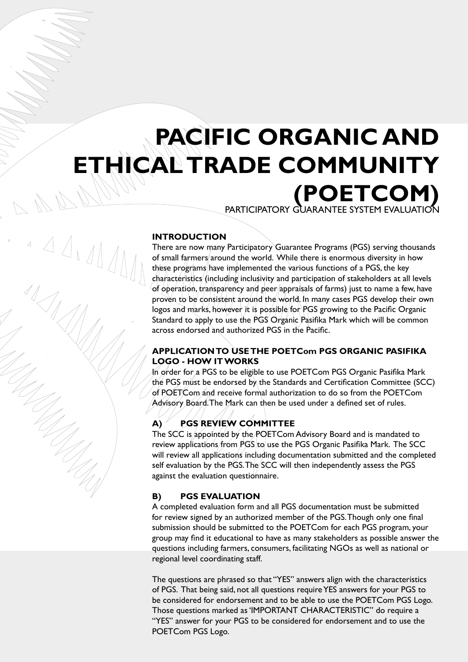# **PACIFIC ORGANIC AND ETHICAL TRADE COMMUNITY (POETCOM)** Participatory Guarantee System Evaluation

#### **INTRODUCTION**

 $1411$ 

There are now many Participatory Guarantee Programs (PGS) serving thousands of small farmers around the world. While there is enormous diversity in how these programs have implemented the various functions of a PGS, the key characteristics (including inclusivity and participation of stakeholders at all levels of operation, transparency and peer appraisals of farms) just to name a few, have proven to be consistent around the world. In many cases PGS develop their own logos and marks, however it is possible for PGS growing to the Pacific Organic Standard to apply to use the PGS Organic Pasifika Mark which will be common across endorsed and authorized PGS in the Pacific.

#### **APPLICATION TO USE THE POETCom PGS ORGANIC PASIFIKA LOGO - HOW IT WORKS**

In order for a PGS to be eligible to use POETCom PGS Organic Pasifika Mark the PGS must be endorsed by the Standards and Certification Committee (SCC) of POETCom and receive formal authorization to do so from the POETCom Advisory Board. The Mark can then be used under a defined set of rules.

### **A) PGS REVIEW COMMITTEE**

The SCC is appointed by the POETCom Advisory Board and is mandated to review applications from PGS to use the PGS Organic Pasifika Mark. The SCC will review all applications including documentation submitted and the completed self evaluation by the PGS. The SCC will then independently assess the PGS against the evaluation questionnaire.

#### **B) PGS EVALUATION**

A completed evaluation form and all PGS documentation must be submitted for review signed by an authorized member of the PGS. Though only one final submission should be submitted to the POETCom for each PGS program, your group may find it educational to have as many stakeholders as possible answer the questions including farmers, consumers, facilitating NGOs as well as national or regional level coordinating staff.

The questions are phrased so that "YES" answers align with the characteristics of PGS. That being said, not all questions require YES answers for your PGS to be considered for endorsement and to be able to use the POETCom PGS Logo. Those questions marked as 'IMPORTANT CHARACTERISTIC" do require a "YES" answer for your PGS to be considered for endorsement and to use the POETCom PGS Logo.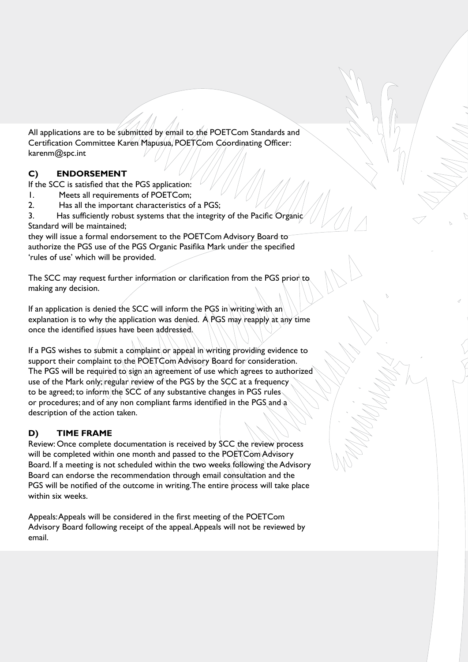All applications are to be submitted by email to the POETCom Standards and Certification Committee Karen Mapusua, POETCom Coordinating Officer: karenm@spc.int

## **C) ENDORSEMENT**

If the SCC is satisfied that the PGS application:

- 1. Meets all requirements of POETCom;
- 2. Has all the important characteristics of a PGS;

3. Has sufficiently robust systems that the integrity of the Pacific Organic Standard will be maintained;

they will issue a formal endorsement to the POETCom Advisory Board to authorize the PGS use of the PGS Organic Pasifika Mark under the specified 'rules of use' which will be provided.

The SCC may request further information or clarification from the PGS prior to making any decision.

If an application is denied the SCC will inform the PGS in writing with an explanation is to why the application was denied. A PGS may reapply at any time once the identified issues have been addressed.

If a PGS wishes to submit a complaint or appeal in writing providing evidence to support their complaint to the POETCom Advisory Board for consideration. The PGS will be required to sign an agreement of use which agrees to authorized use of the Mark only; regular review of the PGS by the SCC at a frequency to be agreed; to inform the SCC of any substantive changes in PGS rules or procedures; and of any non compliant farms identified in the PGS and a description of the action taken.

## **D) TIME FRAME**

Review: Once complete documentation is received by SCC the review process will be completed within one month and passed to the POETCom Advisory Board. If a meeting is not scheduled within the two weeks following the Advisory Board can endorse the recommendation through email consultation and the PGS will be notified of the outcome in writing. The entire process will take place within six weeks.

Appeals: Appeals will be considered in the first meeting of the POETCom Advisory Board following receipt of the appeal. Appeals will not be reviewed by email.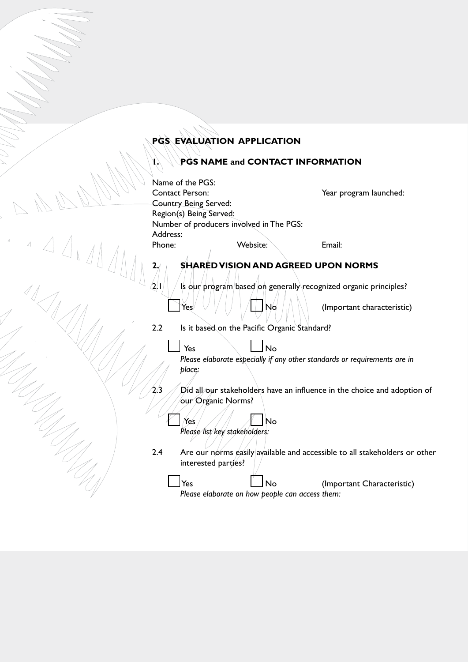# **PGS EVALUATION APPLICATION**

# **1. PGS NAME and CONTACT INFORMATION**

|                                                                                                                | Name of the PGS:<br><b>Contact Person:</b><br>Country Being Served:<br>Region(s) Being Served: |                                                              | Year program launched:                                                            |
|----------------------------------------------------------------------------------------------------------------|------------------------------------------------------------------------------------------------|--------------------------------------------------------------|-----------------------------------------------------------------------------------|
|                                                                                                                | Number of producers involved in The PGS:                                                       |                                                              |                                                                                   |
|                                                                                                                | Address:                                                                                       |                                                              |                                                                                   |
| $\begin{array}{c} \begin{array}{c} \mathbf{1} & \mathbf{1} \\ \mathbf{1} & \mathbf{1} \end{array} \end{array}$ | Phone:                                                                                         | Website:<br><b>SHARED VISION AND AGREED UPON NORMS</b>       | Email:                                                                            |
|                                                                                                                |                                                                                                |                                                              |                                                                                   |
|                                                                                                                | $2\vert$ l                                                                                     |                                                              | Is our program based on generally recognized organic principles?                  |
|                                                                                                                | Yes                                                                                            | No                                                           | (Important characteristic)                                                        |
|                                                                                                                | 2.2                                                                                            | Is it based on the Pacific Organic Standard?                 |                                                                                   |
|                                                                                                                | Yes<br>place:                                                                                  | <b>No</b>                                                    | Please elaborate especially if any other standards or requirements are in         |
|                                                                                                                | $2\Delta$<br>our Organic Norms?                                                                |                                                              | $\dot{D}$ id all/our stakeholders have an influence in the choice and adoption of |
|                                                                                                                | Yes<br>Please list key stakeholders:                                                           | No                                                           |                                                                                   |
|                                                                                                                | 2.4<br>interested parties?                                                                     |                                                              | Are our norms easily available and accessible to all stakeholders or other        |
|                                                                                                                | Yes                                                                                            | <b>No</b><br>Please elaborate on how people can access them: | (Important Characteristic)                                                        |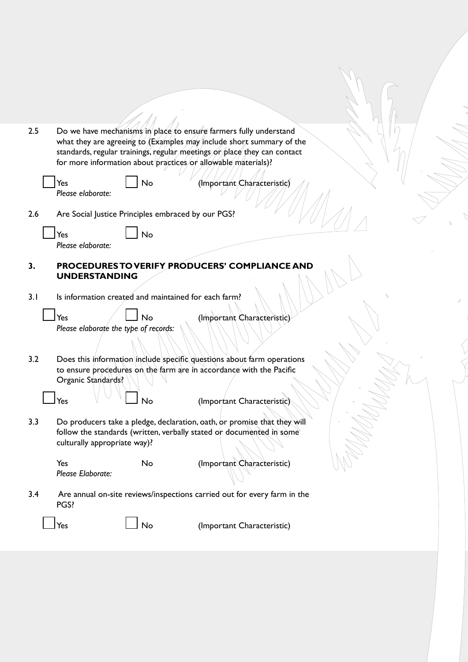| 2.5 |                          |                                                    | Do we have mechanisms in place to ensure farmers fully understand<br>what they are agreeing to (Examples may include short summary of the<br>standards, regular trainings, regular meetings or place they can contact<br>for more information about practices/or allowable materials)? |  |
|-----|--------------------------|----------------------------------------------------|----------------------------------------------------------------------------------------------------------------------------------------------------------------------------------------------------------------------------------------------------------------------------------------|--|
|     | Yes<br>Please elaborate: | No                                                 | (Important Characteristic)                                                                                                                                                                                                                                                             |  |
| 2.6 |                          | Are Social Justice Principles embraced by our PGS? |                                                                                                                                                                                                                                                                                        |  |
|     | Yes<br>Please elaborate: | No                                                 |                                                                                                                                                                                                                                                                                        |  |
| 3.  | <b>UNDERSTANDING</b>     |                                                    | PROCEDURES TO VERIFY PRODUCERS' COMPLIANCE AND                                                                                                                                                                                                                                         |  |

 $\mathcal{U}$ 

3.1 Is information created and maintained for each farm?

 $\mathbf{r}$ 

| Yes |                                  | $\Box$ No |  |
|-----|----------------------------------|-----------|--|
|     | Please elaborate the type of red |           |  |

(Important Characteristic)

*Please elaborate the type of records:*

3.2 Does this information include specific questions about farm operations to ensure procedures on the farm are in accordance with the Pacific Organic Standards?

 $\mathsf{Y}\mathsf{es} \longrightarrow \mathsf{I}\mathsf{S} \longrightarrow \mathsf{S}\mathsf{S}$  (Important Characteristic).

3.3 Do producers take a pledge, declaration, oath, or promise that they will follow the standards (written, verbally stated or documented in some culturally appropriate way)?

*Please Elaborate:*

Yes No (Important Characteristic)

3.4 Are annual on-site reviews/inspections carried out for every farm in the PGS?

 $Yes$   $\Box$  No (Important Characteristic)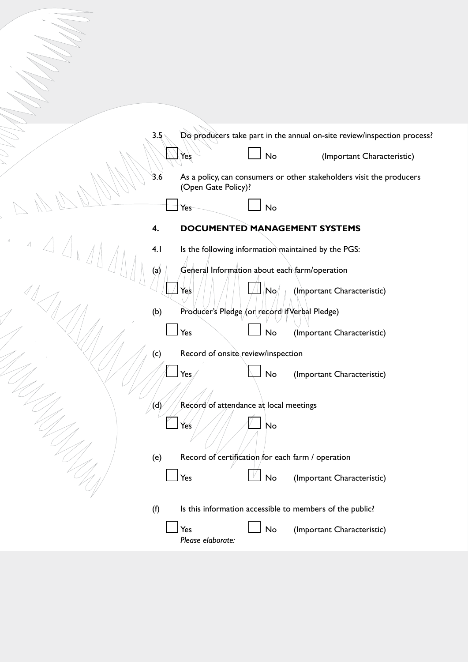| 3.5                                                                              |                                    |                                                          | Do producers take part in the annual on-site review/inspection process? |
|----------------------------------------------------------------------------------|------------------------------------|----------------------------------------------------------|-------------------------------------------------------------------------|
|                                                                                  | Yeş                                | <b>No</b>                                                | (Important Characteristic)                                              |
| 3.6                                                                              | (Open Gate Policy)?                |                                                          | As a policy, can consumers or other stakeholders visit the producers    |
|                                                                                  | Yes                                | No                                                       |                                                                         |
| 4.                                                                               |                                    | <b>DOCUMENTED MANAGEMENT SYSTEMS</b>                     |                                                                         |
| $\mathcal{L}_{\text{max}} = \mathcal{L}_{\text{max}}$<br>$\angle\angle_1$<br>4.1 |                                    | Is the following information maintained by the PGS:      |                                                                         |
| (a)                                                                              |                                    | General Information about each farm/operation            |                                                                         |
|                                                                                  | Yes                                | $ \mathsf{No}\rangle$                                    | (Important Characteristic)                                              |
| (b)                                                                              |                                    | Producer's Pledge (or record if Verbal Pledge)           |                                                                         |
|                                                                                  | Yes                                | No                                                       | (Important Characteristic)                                              |
| (c)                                                                              | Record of onsite review/inspection |                                                          |                                                                         |
|                                                                                  | Yes                                | No                                                       | (Important Characteristic)                                              |
| $\langle 0 \rangle$                                                              |                                    | Record of attendance at local meetings                   |                                                                         |
|                                                                                  | Yes                                | No                                                       |                                                                         |
| (e)                                                                              |                                    | Record of certification for each farm / operation        |                                                                         |
|                                                                                  | Yes                                | No                                                       | (Important Characteristic)                                              |
| (f)                                                                              |                                    | Is this information accessible to members of the public? |                                                                         |
|                                                                                  | Yes<br>Please elaborate:           | No                                                       | (Important Characteristic)                                              |
|                                                                                  |                                    |                                                          |                                                                         |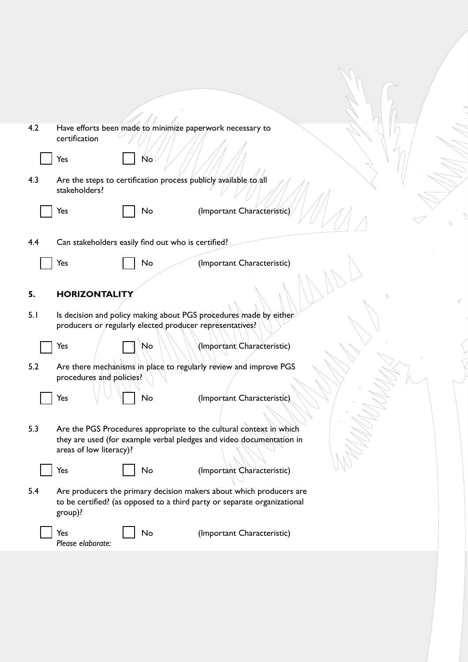| 4.2 | Have efforts been made to minimize paperwork necessary to<br>certification                                                                                 |                            |
|-----|------------------------------------------------------------------------------------------------------------------------------------------------------------|----------------------------|
|     | Yes<br>Ńo                                                                                                                                                  |                            |
| 4.3 | Are the steps to certification process publicly available to all<br>stakeholders?                                                                          |                            |
|     | No<br>Yes                                                                                                                                                  | (Important Characteristic) |
| 4.4 | Can stakeholders easily find out who is certified?                                                                                                         |                            |
|     | Yes<br>No                                                                                                                                                  | (Important Characteristic) |
| 5.  | <b>HORIZONTALITY</b>                                                                                                                                       |                            |
| 5.1 | Is decision and policy making about PGS procedures made by either<br>producers or regularly elected producer representatives?                              |                            |
|     | No<br>Yes                                                                                                                                                  | (Important Characteristic) |
| 5.2 | Are there mechanisms in place to regularly review and improve PGS<br>procedures and policies?                                                              |                            |
|     | No<br>Yes                                                                                                                                                  | (Important Characteristic) |
| 5.3 | Are the PGS Procedures appropriate to the cultural context in which<br>they are used (for example verbal pledges and video documentation in                |                            |
|     | areas of low literacy)?<br>No<br>Yes                                                                                                                       | (Important Characteristic) |
| 5.4 | Are producers the primary decision makers about which producers are<br>to be certified? (as opposed to a third party or separate organizational<br>group)? |                            |
|     | No<br>Yes<br>Please elaborate:                                                                                                                             | (Important Characteristic) |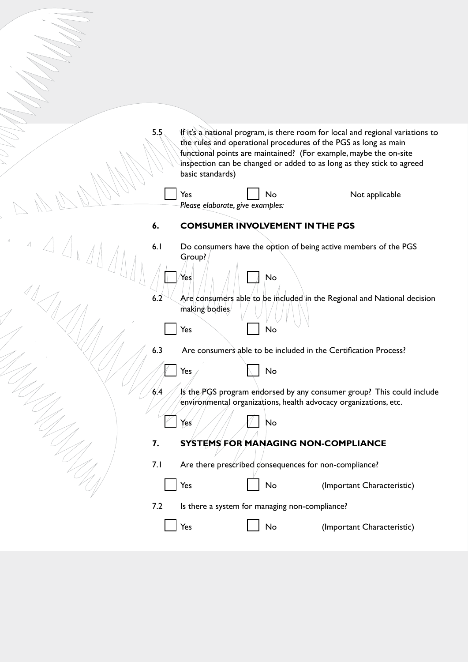5.5 If it's a national program, is there room for local and regional variations to the rules and operational procedures of the PGS as long as main functional points are maintained? (For example, maybe the on-site inspection can be changed or added to as long as they stick to agreed basic standards)

Yes  $\parallel$  No Not applicable *Please elaborate, give examples:* **6. COMSUMER INVOLVEMENT IN THE PGS** 6.1 Do consumers have the option of being active members of the PGS Group? Yes No 6.2  $\sim$  Are consumers able to be included in the Regional and National decision making bodies ||Yes \||No 6.3 Are consumers able to be included in the Certification Process?  $\mathscr{U}/\mathscr{U}$  Yes  $\mathscr{V}$  No 6.4  $\frac{1}{5}$  Is the PGS program endorsed by any consumer group? This could include environmental organizations, health advocacy organizations, etc.  $\blacksquare$  Yes  $\parallel$  /  $\parallel$   $\parallel$  No **7. SYSTEMS FOR MANAGING NON-COMPLIANCE** 7.1 Are there prescribed consequences for non-compliance? Yes No (Important Characteristic) 7.2 Is there a system for managing non-compliance? Yes No (Important Characteristic)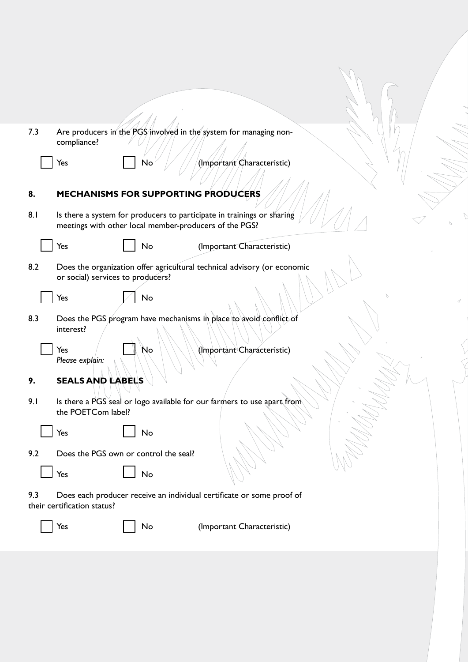| 7.3<br>Are producers in the PGS involved in the system for managing non-<br>compliance?                                                 |  |
|-----------------------------------------------------------------------------------------------------------------------------------------|--|
| No<br>Yes<br>(Important Characteristic)                                                                                                 |  |
| 8.<br><b>MECHANISMS FOR SUPPORTING PRODUCERS</b>                                                                                        |  |
| 8.1<br>Is there a system for producers to participate in trainings or sharing<br>meetings with other local member-producers of the PGS? |  |
| Yes<br>No<br>(Important Characteristic)                                                                                                 |  |
| 8.2<br>Does the organization offer agricultural technical advisory (or economic<br>or social) services to producers?                    |  |
| Yes<br>No                                                                                                                               |  |
| Does the PGS program have mechanisms in place to avoid conflict of<br>8.3<br>interest?                                                  |  |
| Yes<br>(Important Characteristic)<br>No<br>Please explain:                                                                              |  |
| <b>SEALS AND LABELS</b><br>9.                                                                                                           |  |
| 9.1<br>Is there a PGS seal or logo available for our farmers to use apart from<br>the POETCom label?                                    |  |
| Yes<br>No                                                                                                                               |  |
| 9.2<br>Does the PGS own or control the seal?                                                                                            |  |
| Yes<br>No                                                                                                                               |  |
| 9.3<br>Does each producer receive an individual certificate or some proof of<br>their certification status?                             |  |
| (Important Characteristic)<br>Yes<br>No                                                                                                 |  |